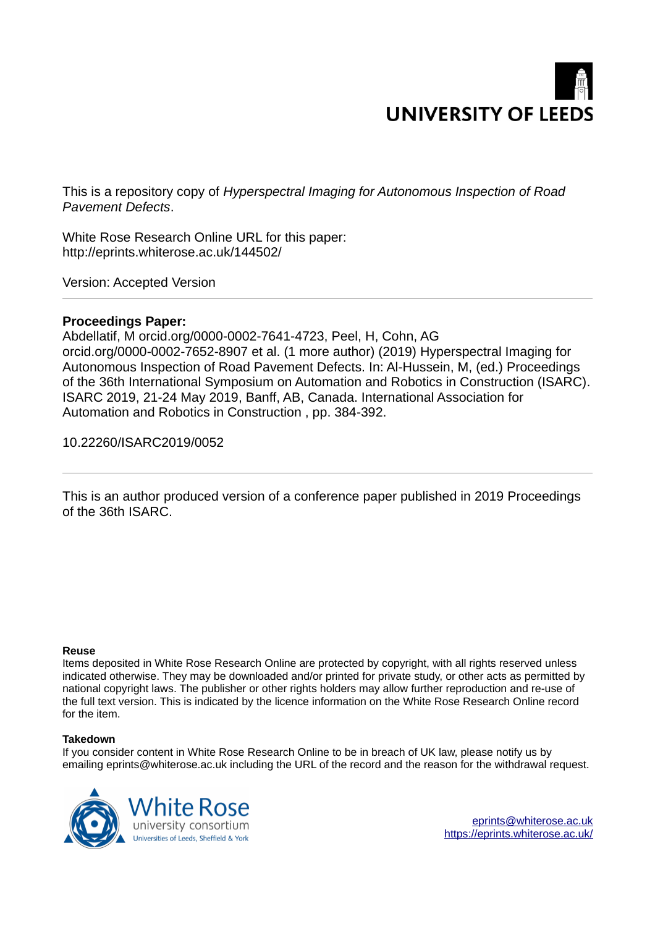

This is a repository copy of *Hyperspectral Imaging for Autonomous Inspection of Road Pavement Defects*.

White Rose Research Online URL for this paper: http://eprints.whiterose.ac.uk/144502/

Version: Accepted Version

# **Proceedings Paper:**

Abdellatif, M orcid.org/0000-0002-7641-4723, Peel, H, Cohn, AG orcid.org/0000-0002-7652-8907 et al. (1 more author) (2019) Hyperspectral Imaging for Autonomous Inspection of Road Pavement Defects. In: Al-Hussein, M, (ed.) Proceedings of the 36th International Symposium on Automation and Robotics in Construction (ISARC). ISARC 2019, 21-24 May 2019, Banff, AB, Canada. International Association for Automation and Robotics in Construction , pp. 384-392.

10.22260/ISARC2019/0052

This is an author produced version of a conference paper published in 2019 Proceedings of the 36th ISARC.

# **Reuse**

Items deposited in White Rose Research Online are protected by copyright, with all rights reserved unless indicated otherwise. They may be downloaded and/or printed for private study, or other acts as permitted by national copyright laws. The publisher or other rights holders may allow further reproduction and re-use of the full text version. This is indicated by the licence information on the White Rose Research Online record for the item.

# **Takedown**

If you consider content in White Rose Research Online to be in breach of UK law, please notify us by emailing eprints@whiterose.ac.uk including the URL of the record and the reason for the withdrawal request.



[eprints@whiterose.ac.uk](mailto:eprints@whiterose.ac.uk) <https://eprints.whiterose.ac.uk/>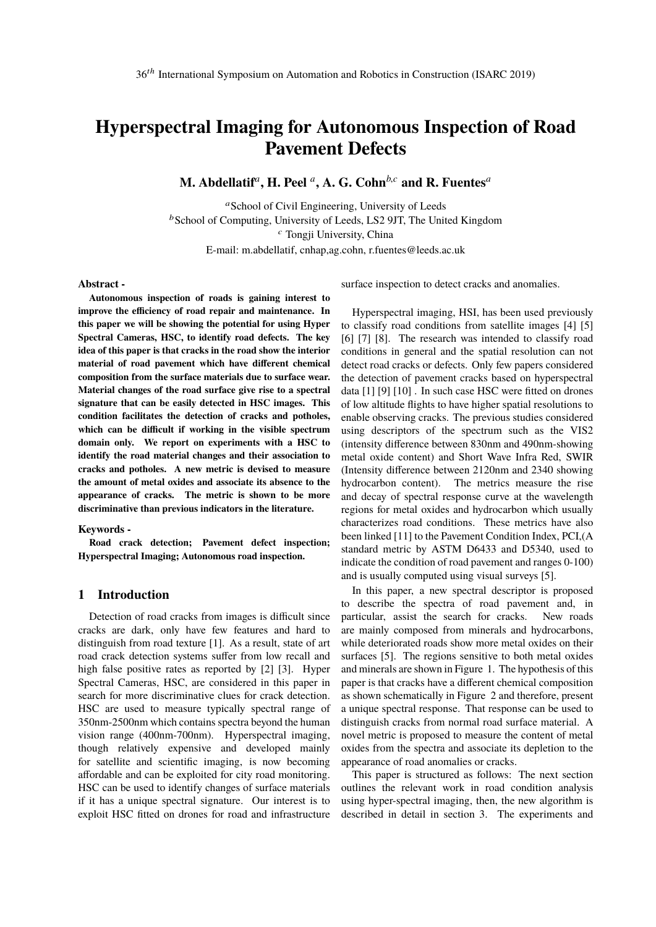# **Hyperspectral Imaging for Autonomous Inspection of Road Pavement Defects**

**M. Abdellatif***<sup>a</sup>* **, H. Peel** *<sup>a</sup>* **, A. G. Cohn***b*,*<sup>c</sup>* **and R. Fuentes***<sup>a</sup>*

<sup>a</sup>School of Civil Engineering, University of Leeds  $b$ School of Computing, University of Leeds, LS2 9JT, The United Kingdom <sup>c</sup> Tongji University, China E-mail: m.abdellatif, cnhap,ag.cohn, r.fuentes@leeds.ac.uk

## **Abstract -**

**Autonomous inspection of roads is gaining interest to improve the efficiency of road repair and maintenance. In this paper we will be showing the potential for using Hyper Spectral Cameras, HSC, to identify road defects. The key idea of this paper is that cracks in the road show the interior material of road pavement which have different chemical composition from the surface materials due to surface wear. Material changes of the road surface give rise to a spectral signature that can be easily detected in HSC images. This condition facilitates the detection of cracks and potholes, which can be difficult if working in the visible spectrum domain only. We report on experiments with a HSC to identify the road material changes and their association to cracks and potholes. A new metric is devised to measure the amount of metal oxides and associate its absence to the appearance of cracks. The metric is shown to be more discriminative than previous indicators in the literature.**

#### **Keywords -**

**Road crack detection; Pavement defect inspection; Hyperspectral Imaging; Autonomous road inspection.**

# **1 Introduction**

Detection of road cracks from images is difficult since cracks are dark, only have few features and hard to distinguish from road texture [1]. As a result, state of art road crack detection systems suffer from low recall and high false positive rates as reported by [2] [3]. Hyper Spectral Cameras, HSC, are considered in this paper in search for more discriminative clues for crack detection. HSC are used to measure typically spectral range of 350nm-2500nm which contains spectra beyond the human vision range (400nm-700nm). Hyperspectral imaging, though relatively expensive and developed mainly for satellite and scientific imaging, is now becoming affordable and can be exploited for city road monitoring. HSC can be used to identify changes of surface materials if it has a unique spectral signature. Our interest is to exploit HSC fitted on drones for road and infrastructure

surface inspection to detect cracks and anomalies.

Hyperspectral imaging, HSI, has been used previously to classify road conditions from satellite images [4] [5] [6] [7] [8]. The research was intended to classify road conditions in general and the spatial resolution can not detect road cracks or defects. Only few papers considered the detection of pavement cracks based on hyperspectral data [1] [9] [10] . In such case HSC were fitted on drones of low altitude flights to have higher spatial resolutions to enable observing cracks. The previous studies considered using descriptors of the spectrum such as the VIS2 (intensity difference between 830nm and 490nm-showing metal oxide content) and Short Wave Infra Red, SWIR (Intensity difference between 2120nm and 2340 showing hydrocarbon content). The metrics measure the rise and decay of spectral response curve at the wavelength regions for metal oxides and hydrocarbon which usually characterizes road conditions. These metrics have also been linked [11] to the Pavement Condition Index, PCI,(A standard metric by ASTM D6433 and D5340, used to indicate the condition of road pavement and ranges 0-100) and is usually computed using visual surveys [5].

In this paper, a new spectral descriptor is proposed to describe the spectra of road pavement and, in particular, assist the search for cracks. New roads are mainly composed from minerals and hydrocarbons, while deteriorated roads show more metal oxides on their surfaces [5]. The regions sensitive to both metal oxides and minerals are shown in Figure 1. The hypothesis of this paper is that cracks have a different chemical composition as shown schematically in Figure 2 and therefore, present a unique spectral response. That response can be used to distinguish cracks from normal road surface material. A novel metric is proposed to measure the content of metal oxides from the spectra and associate its depletion to the appearance of road anomalies or cracks.

This paper is structured as follows: The next section outlines the relevant work in road condition analysis using hyper-spectral imaging, then, the new algorithm is described in detail in section 3. The experiments and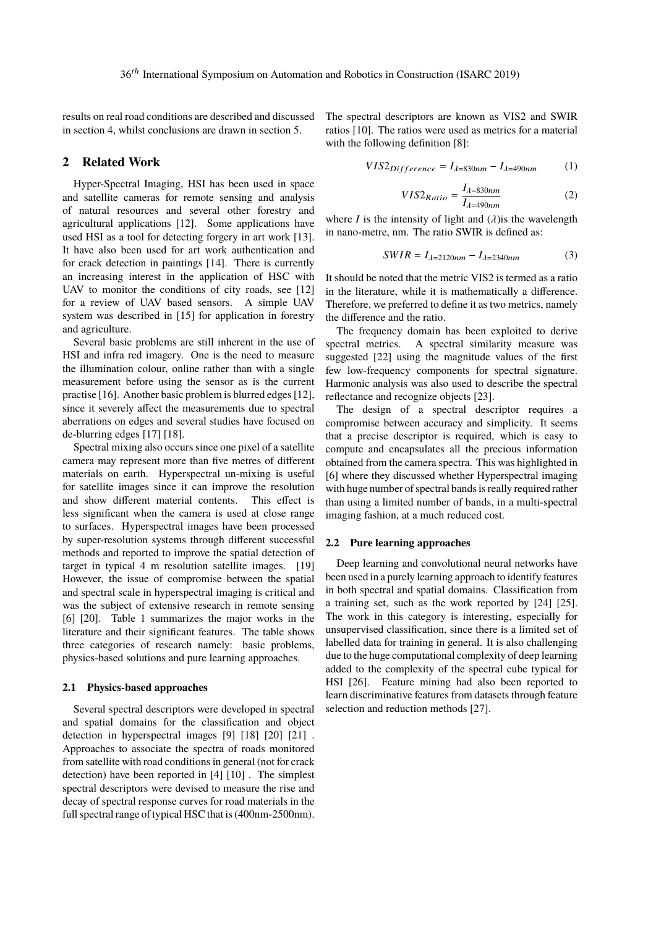results on real road conditions are described and discussed in section 4, whilst conclusions are drawn in section 5.

# **2 Related Work**

Hyper-Spectral Imaging, HSI has been used in space and satellite cameras for remote sensing and analysis of natural resources and several other forestry and agricultural applications [12]. Some applications have used HSI as a tool for detecting forgery in art work [13]. It have also been used for art work authentication and for crack detection in paintings [14]. There is currently an increasing interest in the application of HSC with UAV to monitor the conditions of city roads, see [12] for a review of UAV based sensors. A simple UAV system was described in [15] for application in forestry and agriculture.

Several basic problems are still inherent in the use of HSI and infra red imagery. One is the need to measure the illumination colour, online rather than with a single measurement before using the sensor as is the current practise [16]. Another basic problem is blurred edges [12], since it severely affect the measurements due to spectral aberrations on edges and several studies have focused on de-blurring edges [17] [18].

Spectral mixing also occurs since one pixel of a satellite camera may represent more than five metres of different materials on earth. Hyperspectral un-mixing is useful for satellite images since it can improve the resolution and show different material contents. This effect is less significant when the camera is used at close range to surfaces. Hyperspectral images have been processed by super-resolution systems through different successful methods and reported to improve the spatial detection of target in typical 4 m resolution satellite images. [19] However, the issue of compromise between the spatial and spectral scale in hyperspectral imaging is critical and was the subject of extensive research in remote sensing [6] [20]. Table 1 summarizes the major works in the literature and their significant features. The table shows three categories of research namely: basic problems, physics-based solutions and pure learning approaches.

#### **2.1 Physics-based approaches**

Several spectral descriptors were developed in spectral and spatial domains for the classification and object detection in hyperspectral images [9] [18] [20] [21] . Approaches to associate the spectra of roads monitored from satellite with road conditions in general (not for crack detection) have been reported in [4] [10] . The simplest spectral descriptors were devised to measure the rise and decay of spectral response curves for road materials in the full spectral range of typical HSC that is (400nm-2500nm). The spectral descriptors are known as VIS2 and SWIR ratios [10]. The ratios were used as metrics for a material with the following definition [8]:

$$
VIS2Difference = Iλ=830nm - Iλ=490nm
$$
 (1)

$$
VIS2_{Ratio} = \frac{I_{\lambda=830nm}}{I_{\lambda=490nm}}
$$
 (2)

where *I* is the intensity of light and  $(\lambda)$  is the wavelength in nano-metre, nm. The ratio SWIR is defined as:

$$
SWIR = I_{\lambda=2120nm} - I_{\lambda=2340nm} \tag{3}
$$

It should be noted that the metric VIS2 is termed as a ratio in the literature, while it is mathematically a difference. Therefore, we preferred to define it as two metrics, namely the difference and the ratio.

The frequency domain has been exploited to derive spectral metrics. A spectral similarity measure was suggested [22] using the magnitude values of the first few low-frequency components for spectral signature. Harmonic analysis was also used to describe the spectral reflectance and recognize objects [23].

The design of a spectral descriptor requires a compromise between accuracy and simplicity. It seems that a precise descriptor is required, which is easy to compute and encapsulates all the precious information obtained from the camera spectra. This was highlighted in [6] where they discussed whether Hyperspectral imaging with huge number of spectral bands is really required rather than using a limited number of bands, in a multi-spectral imaging fashion, at a much reduced cost.

#### **2.2 Pure learning approaches**

Deep learning and convolutional neural networks have been used in a purely learning approach to identify features in both spectral and spatial domains. Classification from a training set, such as the work reported by [24] [25]. The work in this category is interesting, especially for unsupervised classification, since there is a limited set of labelled data for training in general. It is also challenging due to the huge computational complexity of deep learning added to the complexity of the spectral cube typical for HSI [26]. Feature mining had also been reported to learn discriminative features from datasets through feature selection and reduction methods [27].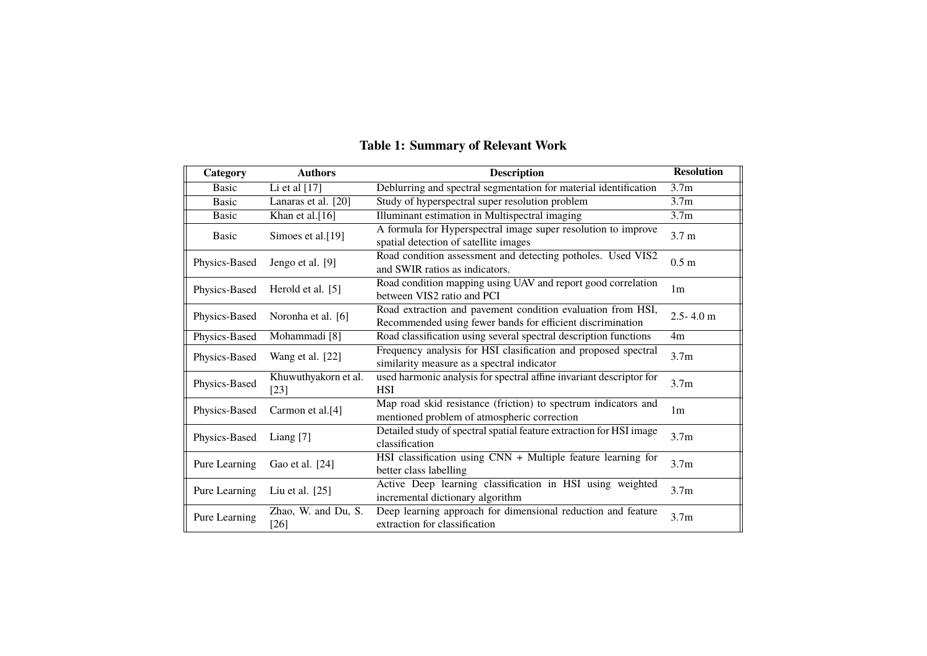| Category      | <b>Authors</b>                 | <b>Description</b>                                                                                                        | <b>Resolution</b> |
|---------------|--------------------------------|---------------------------------------------------------------------------------------------------------------------------|-------------------|
| <b>Basic</b>  | Li et al $[17]$                | Deblurring and spectral segmentation for material identification                                                          | 3.7 <sub>m</sub>  |
| <b>Basic</b>  | Lanaras et al. [20]            | Study of hyperspectral super resolution problem                                                                           | 3.7 <sub>m</sub>  |
| <b>Basic</b>  | Khan et al. $[16]$             | Illuminant estimation in Multispectral imaging                                                                            | 3.7 <sub>m</sub>  |
| <b>Basic</b>  | Simoes et al.[19]              | A formula for Hyperspectral image super resolution to improve<br>spatial detection of satellite images                    | 3.7 <sub>m</sub>  |
| Physics-Based | Jengo et al. [9]               | Road condition assessment and detecting potholes. Used VIS2<br>and SWIR ratios as indicators.                             | 0.5 <sub>m</sub>  |
| Physics-Based | Herold et al. [5]              | Road condition mapping using UAV and report good correlation<br>between VIS2 ratio and PCI                                | 1 <sub>m</sub>    |
| Physics-Based | Noronha et al. [6]             | Road extraction and pavement condition evaluation from HSI,<br>Recommended using fewer bands for efficient discrimination | $2.5 - 4.0$ m     |
| Physics-Based | Mohammadi <sup>[8]</sup>       | Road classification using several spectral description functions                                                          | 4m                |
| Physics-Based | Wang et al. [22]               | Frequency analysis for HSI clasification and proposed spectral<br>similarity measure as a spectral indicator              | 3.7 <sub>m</sub>  |
| Physics-Based | Khuwuthyakorn et al.<br>$[23]$ | used harmonic analysis for spectral affine invariant descriptor for<br><b>HSI</b>                                         | 3.7 <sub>m</sub>  |
| Physics-Based | Carmon et al.[4]               | Map road skid resistance (friction) to spectrum indicators and<br>mentioned problem of atmospheric correction             | 1 <sub>m</sub>    |
| Physics-Based | Liang [7]                      | Detailed study of spectral spatial feature extraction for HSI image<br>classification                                     | 3.7 <sub>m</sub>  |
| Pure Learning | Gao et al. [24]                | HSI classification using $\overline{CNN + Multiple}$ feature learning for<br>better class labelling                       | 3.7 <sub>m</sub>  |
| Pure Learning | Liu et al. $[25]$              | Active Deep learning classification in HSI using weighted<br>incremental dictionary algorithm                             | 3.7 <sub>m</sub>  |
| Pure Learning | Zhao, W. and Du, S.<br>$[26]$  | Deep learning approach for dimensional reduction and feature<br>extraction for classification                             | 3.7 <sub>m</sub>  |

# **Table 1: Summary of Relevant Work**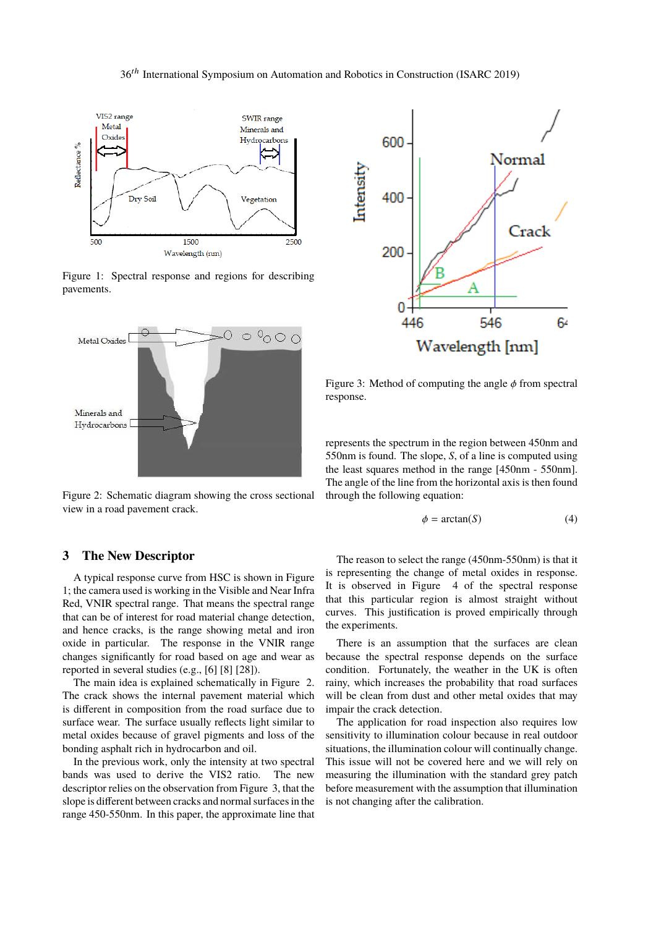### 36th International Symposium on Automation and Robotics in Construction (ISARC 2019)



Figure 1: Spectral response and regions for describing pavements.



Figure 2: Schematic diagram showing the cross sectional view in a road pavement crack.

## **3 The New Descriptor**

A typical response curve from HSC is shown in Figure 1; the camera used is working in the Visible and Near Infra Red, VNIR spectral range. That means the spectral range that can be of interest for road material change detection, and hence cracks, is the range showing metal and iron oxide in particular. The response in the VNIR range changes significantly for road based on age and wear as reported in several studies (e.g., [6] [8] [28]).

The main idea is explained schematically in Figure 2. The crack shows the internal pavement material which is different in composition from the road surface due to surface wear. The surface usually reflects light similar to metal oxides because of gravel pigments and loss of the bonding asphalt rich in hydrocarbon and oil.

In the previous work, only the intensity at two spectral bands was used to derive the VIS2 ratio. The new descriptor relies on the observation from Figure 3, that the slope is different between cracks and normal surfaces in the range 450-550nm. In this paper, the approximate line that



Figure 3: Method of computing the angle  $\phi$  from spectral response.

represents the spectrum in the region between 450nm and 550nm is found. The slope, *S*, of a line is computed using the least squares method in the range [450nm - 550nm]. The angle of the line from the horizontal axis is then found through the following equation:

$$
\phi = \arctan(S) \tag{4}
$$

The reason to select the range (450nm-550nm) is that it is representing the change of metal oxides in response. It is observed in Figure 4 of the spectral response that this particular region is almost straight without curves. This justification is proved empirically through the experiments.

There is an assumption that the surfaces are clean because the spectral response depends on the surface condition. Fortunately, the weather in the UK is often rainy, which increases the probability that road surfaces will be clean from dust and other metal oxides that may impair the crack detection.

The application for road inspection also requires low sensitivity to illumination colour because in real outdoor situations, the illumination colour will continually change. This issue will not be covered here and we will rely on measuring the illumination with the standard grey patch before measurement with the assumption that illumination is not changing after the calibration.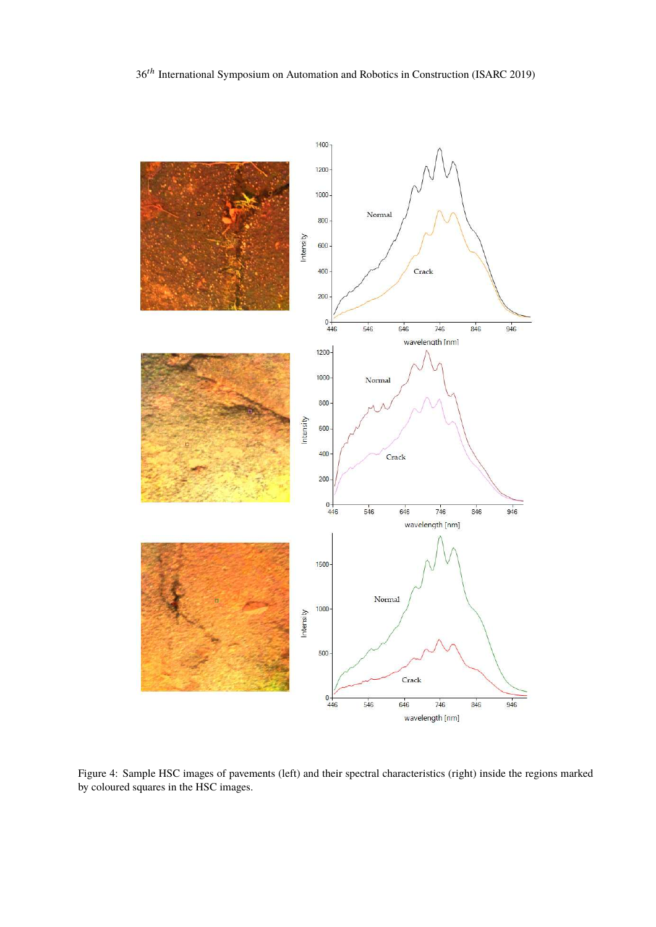

Figure 4: Sample HSC images of pavements (left) and their spectral characteristics (right) inside the regions marked by coloured squares in the HSC images.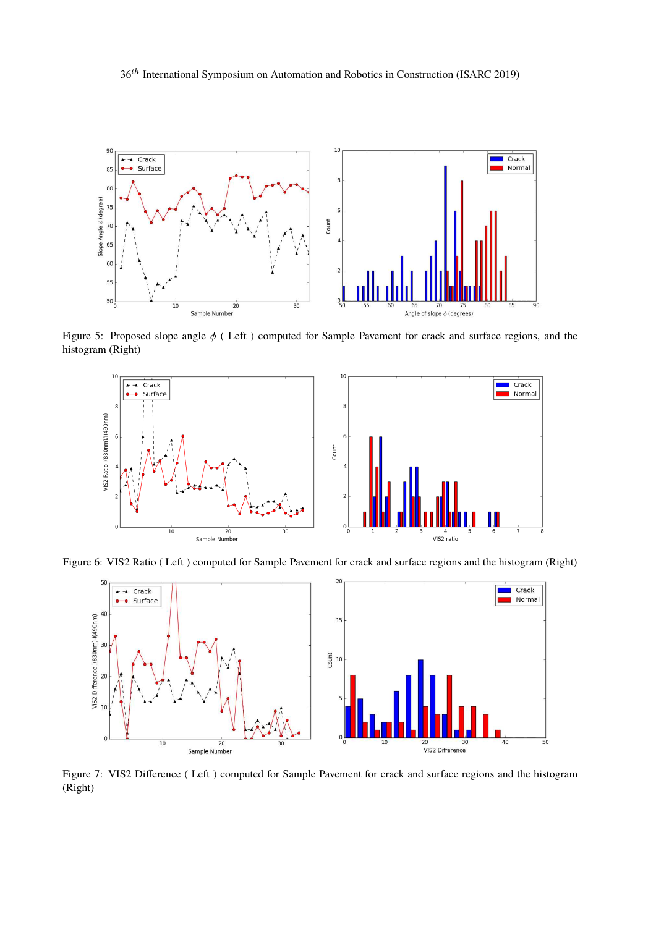36th International Symposium on Automation and Robotics in Construction (ISARC 2019)



Figure 5: Proposed slope angle φ ( Left ) computed for Sample Pavement for crack and surface regions, and the histogram (Right)



Figure 6: VIS2 Ratio ( Left ) computed for Sample Pavement for crack and surface regions and the histogram (Right)



Figure 7: VIS2 Difference ( Left ) computed for Sample Pavement for crack and surface regions and the histogram (Right)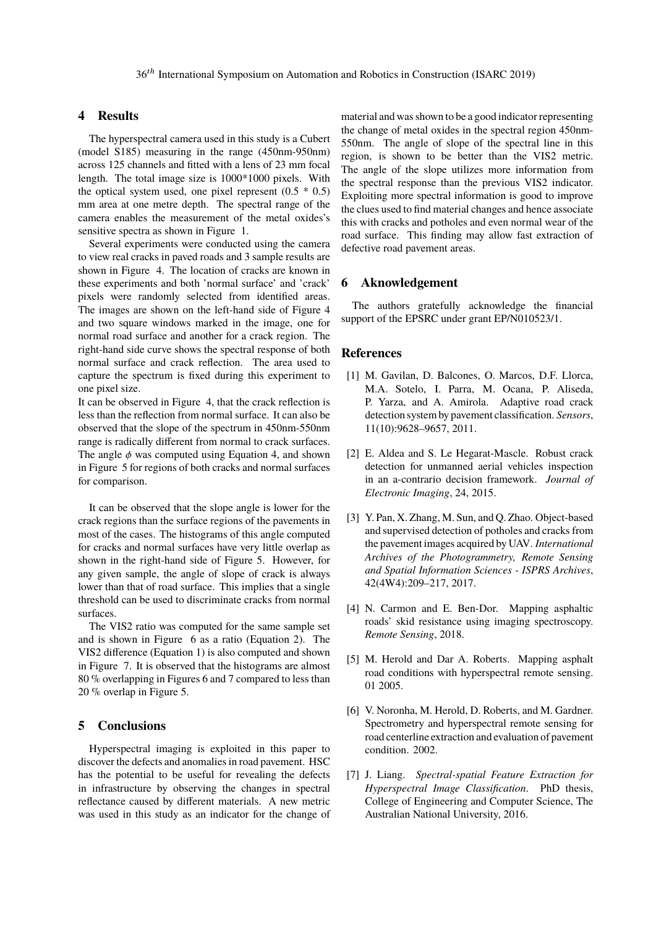# **4 Results**

The hyperspectral camera used in this study is a Cubert (model S185) measuring in the range (450nm-950nm) across 125 channels and fitted with a lens of 23 mm focal length. The total image size is 1000\*1000 pixels. With the optical system used, one pixel represent  $(0.5 * 0.5)$ mm area at one metre depth. The spectral range of the camera enables the measurement of the metal oxides's sensitive spectra as shown in Figure 1.

Several experiments were conducted using the camera to view real cracks in paved roads and 3 sample results are shown in Figure 4. The location of cracks are known in these experiments and both 'normal surface' and 'crack' pixels were randomly selected from identified areas. The images are shown on the left-hand side of Figure 4 and two square windows marked in the image, one for normal road surface and another for a crack region. The right-hand side curve shows the spectral response of both normal surface and crack reflection. The area used to capture the spectrum is fixed during this experiment to one pixel size.

It can be observed in Figure 4, that the crack reflection is less than the reflection from normal surface. It can also be observed that the slope of the spectrum in 450nm-550nm range is radically different from normal to crack surfaces. The angle  $\phi$  was computed using Equation 4, and shown in Figure 5 for regions of both cracks and normal surfaces for comparison.

It can be observed that the slope angle is lower for the crack regions than the surface regions of the pavements in most of the cases. The histograms of this angle computed for cracks and normal surfaces have very little overlap as shown in the right-hand side of Figure 5. However, for any given sample, the angle of slope of crack is always lower than that of road surface. This implies that a single threshold can be used to discriminate cracks from normal surfaces.

The VIS2 ratio was computed for the same sample set and is shown in Figure 6 as a ratio (Equation 2). The VIS2 difference (Equation 1) is also computed and shown in Figure 7. It is observed that the histograms are almost 80 % overlapping in Figures 6 and 7 compared to less than 20 % overlap in Figure 5.

## **5 Conclusions**

Hyperspectral imaging is exploited in this paper to discover the defects and anomalies in road pavement. HSC has the potential to be useful for revealing the defects in infrastructure by observing the changes in spectral reflectance caused by different materials. A new metric was used in this study as an indicator for the change of material and was shown to be a good indicator representing the change of metal oxides in the spectral region 450nm-550nm. The angle of slope of the spectral line in this region, is shown to be better than the VIS2 metric. The angle of the slope utilizes more information from the spectral response than the previous VIS2 indicator. Exploiting more spectral information is good to improve the clues used to find material changes and hence associate this with cracks and potholes and even normal wear of the road surface. This finding may allow fast extraction of defective road pavement areas.

# **6 Aknowledgement**

The authors gratefully acknowledge the financial support of the EPSRC under grant EP/N010523/1.

## **References**

- [1] M. Gavilan, D. Balcones, O. Marcos, D.F. Llorca, M.A. Sotelo, I. Parra, M. Ocana, P. Aliseda, P. Yarza, and A. Amirola. Adaptive road crack detection system by pavement classification. *Sensors*, 11(10):9628–9657, 2011.
- [2] E. Aldea and S. Le Hegarat-Mascle. Robust crack detection for unmanned aerial vehicles inspection in an a-contrario decision framework. *Journal of Electronic Imaging*, 24, 2015.
- [3] Y. Pan, X. Zhang, M. Sun, and Q. Zhao. Object-based and supervised detection of potholes and cracks from the pavement images acquired by UAV. *International Archives of the Photogrammetry, Remote Sensing and Spatial Information Sciences - ISPRS Archives*, 42(4W4):209–217, 2017.
- [4] N. Carmon and E. Ben-Dor. Mapping asphaltic roads' skid resistance using imaging spectroscopy. *Remote Sensing*, 2018.
- [5] M. Herold and Dar A. Roberts. Mapping asphalt road conditions with hyperspectral remote sensing. 01 2005.
- [6] V. Noronha, M. Herold, D. Roberts, and M. Gardner. Spectrometry and hyperspectral remote sensing for road centerline extraction and evaluation of pavement condition. 2002.
- [7] J. Liang. *Spectral-spatial Feature Extraction for Hyperspectral Image Classification*. PhD thesis, College of Engineering and Computer Science, The Australian National University, 2016.